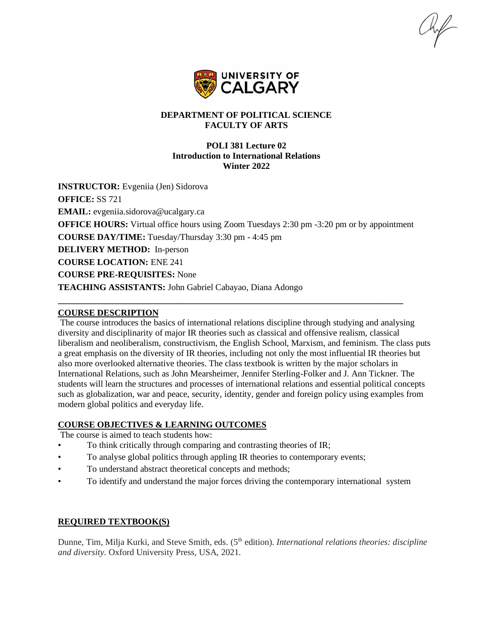

# **DEPARTMENT OF POLITICAL SCIENCE FACULTY OF ARTS**

### **POLI 381 Lecture 02 Introduction to International Relations Winter 2022**

**INSTRUCTOR:** Evgeniia (Jen) Sidorova **OFFICE:** SS 721 **EMAIL:** evgeniia.sidorova@ucalgary.ca **OFFICE HOURS:** Virtual office hours using Zoom Tuesdays 2:30 pm -3:20 pm or by appointment **COURSE DAY/TIME:** Tuesday/Thursday 3:30 pm - 4:45 pm **DELIVERY METHOD:** In-person **COURSE LOCATION:** ENE 241 **COURSE PRE-REQUISITES:** None **TEACHING ASSISTANTS:** John Gabriel Cabayao, Diana Adongo

**\_\_\_\_\_\_\_\_\_\_\_\_\_\_\_\_\_\_\_\_\_\_\_\_\_\_\_\_\_\_\_\_\_\_\_\_\_\_\_\_\_\_\_\_\_\_\_\_\_\_\_\_\_\_\_\_\_\_\_\_\_\_\_\_\_\_\_\_\_\_\_\_\_\_\_\_\_\_**

### **COURSE DESCRIPTION**

The course introduces the basics of international relations discipline through studying and analysing diversity and disciplinarity of major IR theories such as classical and offensive realism, classical liberalism and neoliberalism, constructivism, the English School, Marxism, and feminism. The class puts a great emphasis on the diversity of IR theories, including not only the most influential IR theories but also more overlooked alternative theories. The class textbook is written by the major scholars in International Relations, such as John Mearsheimer, Jennifer Sterling-Folker and J. Ann Tickner. The students will learn the structures and processes of international relations and essential political concepts such as globalization, war and peace, security, identity, gender and foreign policy using examples from modern global politics and everyday life.

# **COURSE OBJECTIVES & LEARNING OUTCOMES**

The course is aimed to teach students how:

- To think critically through comparing and contrasting theories of IR;
- To analyse global politics through appling IR theories to contemporary events;
- To understand abstract theoretical concepts and methods;
- To identify and understand the major forces driving the contemporary international system

# **REQUIRED TEXTBOOK(S)**

Dunne, Tim, Milja Kurki, and Steve Smith, eds. (5<sup>th</sup> edition). *International relations theories: discipline and diversity*. Oxford University Press, USA, 2021.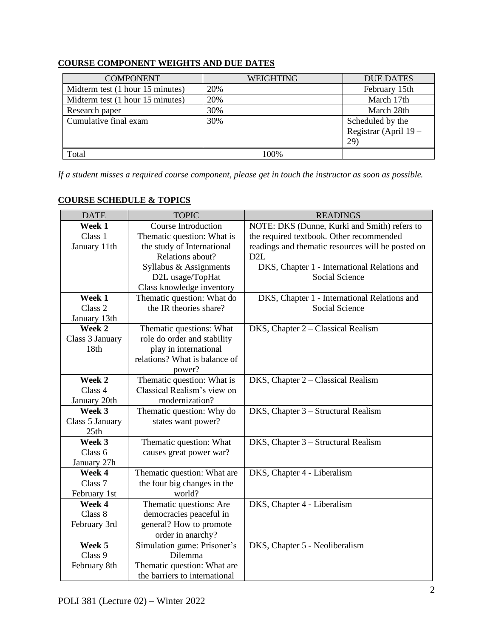| <b>COMPONENT</b>                 | <b>WEIGHTING</b> | <b>DUE DATES</b>                                 |
|----------------------------------|------------------|--------------------------------------------------|
| Midterm test (1 hour 15 minutes) | 20%              | February 15th                                    |
| Midterm test (1 hour 15 minutes) | 20%              | March 17th                                       |
| Research paper                   | 30%              | March 28th                                       |
| Cumulative final exam            | 30%              | Scheduled by the<br>Registrar (April 19 -<br>29) |
| Total                            | 100%             |                                                  |

# **COURSE COMPONENT WEIGHTS AND DUE DATES**

*If a student misses a required course component, please get in touch the instructor as soon as possible.*

| <b>DATE</b>            | <b>TOPIC</b>                  | <b>READINGS</b>                                   |  |
|------------------------|-------------------------------|---------------------------------------------------|--|
| Week 1                 | <b>Course Introduction</b>    | NOTE: DKS (Dunne, Kurki and Smith) refers to      |  |
| Class 1                | Thematic question: What is    | the required textbook. Other recommended          |  |
| January 11th           | the study of International    | readings and thematic resources will be posted on |  |
|                        | Relations about?              | D <sub>2</sub> L                                  |  |
|                        | Syllabus & Assignments        | DKS, Chapter 1 - International Relations and      |  |
|                        | D2L usage/TopHat              | <b>Social Science</b>                             |  |
|                        | Class knowledge inventory     |                                                   |  |
| Week 1                 | Thematic question: What do    | DKS, Chapter 1 - International Relations and      |  |
| Class 2                | the IR theories share?        | Social Science                                    |  |
| January 13th           |                               |                                                   |  |
| Week 2                 | Thematic questions: What      | DKS, Chapter 2 - Classical Realism                |  |
| Class 3 January        | role do order and stability   |                                                   |  |
| 18 <sub>th</sub>       | play in international         |                                                   |  |
|                        | relations? What is balance of |                                                   |  |
|                        | power?                        |                                                   |  |
| Week 2                 | Thematic question: What is    | DKS, Chapter 2 - Classical Realism                |  |
| Class 4                | Classical Realism's view on   |                                                   |  |
| January 20th<br>Week 3 | modernization?                |                                                   |  |
| Class 5 January        | Thematic question: Why do     | DKS, Chapter 3 - Structural Realism               |  |
| 25th                   | states want power?            |                                                   |  |
| Week 3                 | Thematic question: What       | DKS, Chapter 3 - Structural Realism               |  |
| Class 6                | causes great power war?       |                                                   |  |
| January 27h            |                               |                                                   |  |
| Week 4                 | Thematic question: What are   | DKS, Chapter 4 - Liberalism                       |  |
| Class 7                | the four big changes in the   |                                                   |  |
| February 1st           | world?                        |                                                   |  |
| Week 4                 | Thematic questions: Are       | DKS, Chapter 4 - Liberalism                       |  |
| Class 8                | democracies peaceful in       |                                                   |  |
| February 3rd           | general? How to promote       |                                                   |  |
|                        | order in anarchy?             |                                                   |  |
| Week 5                 | Simulation game: Prisoner's   | DKS, Chapter 5 - Neoliberalism                    |  |
| Class 9                | Dilemma                       |                                                   |  |
| February 8th           | Thematic question: What are   |                                                   |  |
|                        | the barriers to international |                                                   |  |

# **COURSE SCHEDULE & TOPICS**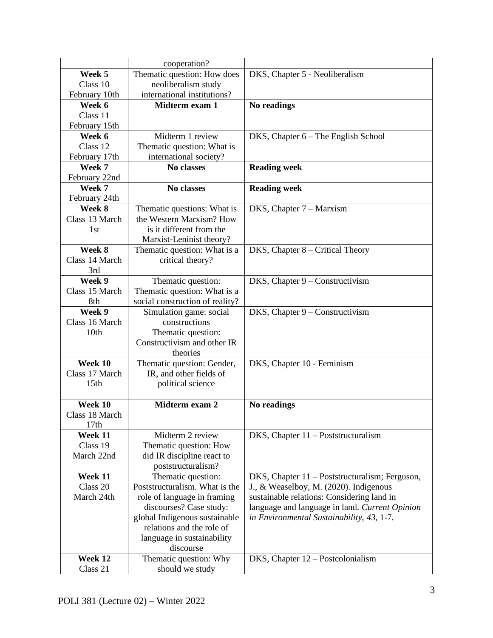|                  | cooperation?                    |                                                |
|------------------|---------------------------------|------------------------------------------------|
| Week 5           | Thematic question: How does     | DKS, Chapter 5 - Neoliberalism                 |
| Class 10         | neoliberalism study             |                                                |
| February 10th    | international institutions?     |                                                |
| Week 6           | Midterm exam 1                  | No readings                                    |
| Class 11         |                                 |                                                |
| February 15th    |                                 |                                                |
| Week 6           | Midterm 1 review                | DKS, Chapter 6 – The English School            |
| Class 12         | Thematic question: What is      |                                                |
| February 17th    | international society?          |                                                |
| Week 7           | No classes                      | <b>Reading week</b>                            |
| February 22nd    |                                 |                                                |
| Week 7           | No classes                      | <b>Reading week</b>                            |
| February 24th    |                                 |                                                |
| Week 8           | Thematic questions: What is     | DKS, Chapter 7 – Marxism                       |
| Class 13 March   | the Western Marxism? How        |                                                |
| 1st              | is it different from the        |                                                |
|                  | Marxist-Leninist theory?        |                                                |
| Week 8           | Thematic question: What is a    | DKS, Chapter 8 – Critical Theory               |
| Class 14 March   | critical theory?                |                                                |
| 3rd              |                                 |                                                |
| Week 9           | Thematic question:              | DKS, Chapter 9 - Constructivism                |
| Class 15 March   | Thematic question: What is a    |                                                |
| 8th              | social construction of reality? |                                                |
| Week 9           | Simulation game: social         | DKS, Chapter 9 – Constructivism                |
| Class 16 March   | constructions                   |                                                |
| 10th             | Thematic question:              |                                                |
|                  | Constructivism and other IR     |                                                |
|                  | theories                        |                                                |
| Week 10          | Thematic question: Gender,      | DKS, Chapter 10 - Feminism                     |
| Class 17 March   | IR, and other fields of         |                                                |
| 15 <sub>th</sub> | political science               |                                                |
| Week 10          | Midterm exam 2                  |                                                |
| Class 18 March   |                                 | No readings                                    |
| 17th             |                                 |                                                |
| Week 11          | Midterm 2 review                | DKS, Chapter $11 -$ Poststructuralism          |
| Class 19         | Thematic question: How          |                                                |
| March 22nd       | did IR discipline react to      |                                                |
|                  | poststructuralism?              |                                                |
| Week 11          | Thematic question:              | DKS, Chapter 11 – Poststructuralism; Ferguson, |
| Class 20         | Poststructuralism. What is the  | J., & Weaselboy, M. (2020). Indigenous         |
| March 24th       | role of language in framing     | sustainable relations: Considering land in     |
|                  | discourses? Case study:         | language and language in land. Current Opinion |
|                  | global Indigenous sustainable   | in Environmental Sustainability, 43, 1-7.      |
|                  | relations and the role of       |                                                |
|                  | language in sustainability      |                                                |
|                  | discourse                       |                                                |
| Week 12          | Thematic question: Why          | DKS, Chapter 12 – Postcolonialism              |
| Class 21         | should we study                 |                                                |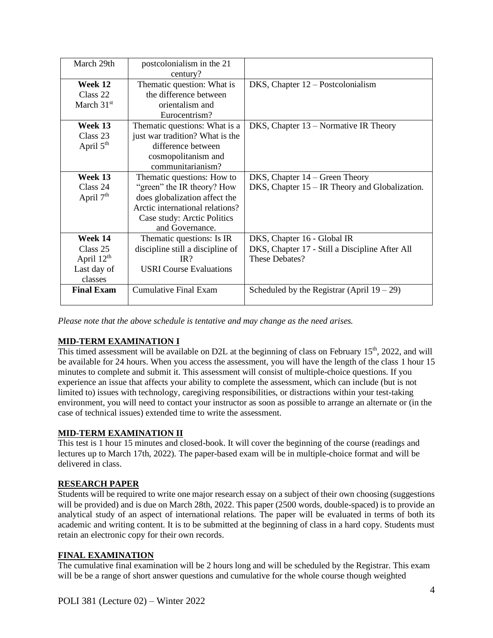| March 29th            | postcolonialism in the 21<br>century? |                                                  |
|-----------------------|---------------------------------------|--------------------------------------------------|
| Week 12               | Thematic question: What is            | DKS, Chapter 12 – Postcolonialism                |
| Class 22              | the difference between                |                                                  |
| March $31st$          | orientalism and                       |                                                  |
|                       | Eurocentrism?                         |                                                  |
| Week 13               | Thematic questions: What is a         | DKS, Chapter $13$ – Normative IR Theory          |
| Class 23              | just war tradition? What is the       |                                                  |
| April $5th$           | difference between                    |                                                  |
|                       | cosmopolitanism and                   |                                                  |
|                       | communitarianism?                     |                                                  |
| Week 13               | Thematic questions: How to            | DKS, Chapter $14 -$ Green Theory                 |
| Class 24              | "green" the IR theory? How            | DKS, Chapter $15 - IR$ Theory and Globalization. |
| April 7 <sup>th</sup> | does globalization affect the         |                                                  |
|                       | Arctic international relations?       |                                                  |
|                       | Case study: Arctic Politics           |                                                  |
|                       | and Governance.                       |                                                  |
| Week 14               | Thematic questions: Is IR             | DKS, Chapter 16 - Global IR                      |
| Class $25$            | discipline still a discipline of      | DKS, Chapter 17 - Still a Discipline After All   |
| April $12th$          | IR <sup>2</sup>                       | These Debates?                                   |
| Last day of           | <b>USRI</b> Course Evaluations        |                                                  |
| classes               |                                       |                                                  |
| <b>Final Exam</b>     | <b>Cumulative Final Exam</b>          | Scheduled by the Registrar (April $19 - 29$ )    |
|                       |                                       |                                                  |

*Please note that the above schedule is tentative and may change as the need arises.*

# **MID-TERM EXAMINATION I**

This timed assessment will be available on D2L at the beginning of class on February 15<sup>th</sup>, 2022, and will be available for 24 hours. When you access the assessment, you will have the length of the class 1 hour 15 minutes to complete and submit it. This assessment will consist of multiple-choice questions. If you experience an issue that affects your ability to complete the assessment, which can include (but is not limited to) issues with technology, caregiving responsibilities, or distractions within your test-taking environment, you will need to contact your instructor as soon as possible to arrange an alternate or (in the case of technical issues) extended time to write the assessment.

# **MID-TERM EXAMINATION II**

This test is 1 hour 15 minutes and closed-book. It will cover the beginning of the course (readings and lectures up to March 17th, 2022). The paper-based exam will be in multiple-choice format and will be delivered in class.

#### **RESEARCH PAPER**

Students will be required to write one major research essay on a subject of their own choosing (suggestions will be provided) and is due on March 28th, 2022. This paper (2500 words, double-spaced) is to provide an analytical study of an aspect of international relations. The paper will be evaluated in terms of both its academic and writing content. It is to be submitted at the beginning of class in a hard copy. Students must retain an electronic copy for their own records.

#### **FINAL EXAMINATION**

The cumulative final examination will be 2 hours long and will be scheduled by the Registrar. This exam will be be a range of short answer questions and cumulative for the whole course though weighted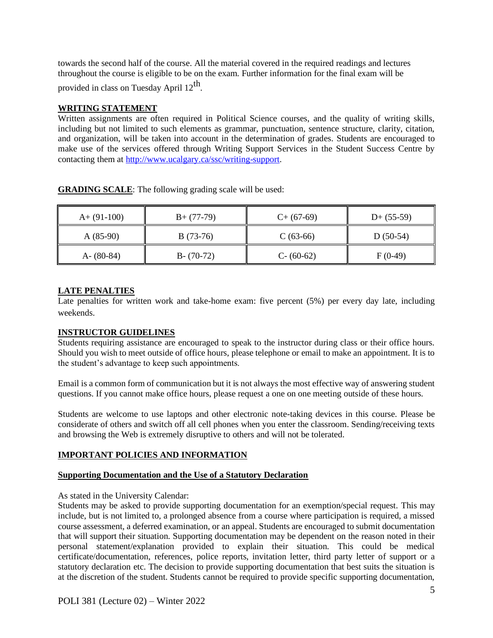towards the second half of the course. All the material covered in the required readings and lectures throughout the course is eligible to be on the exam. Further information for the final exam will be

provided in class on Tuesday April 12<sup>th</sup>.

### **WRITING STATEMENT**

Written assignments are often required in Political Science courses, and the quality of writing skills, including but not limited to such elements as grammar, punctuation, sentence structure, clarity, citation, and organization, will be taken into account in the determination of grades. Students are encouraged to make use of the services offered through Writing Support Services in the Student Success Centre by contacting them at [http://www.ucalgary.ca/ssc/writing-support.](http://www.ucalgary.ca/ssc/writing-support)

| $A+ (91-100)$ | $B+ (77-79)$  | $C+$ (67-69)  | $D+ (55-59)$ |
|---------------|---------------|---------------|--------------|
| $A(85-90)$    | $B(73-76)$    | $C(63-66)$    | $D(50-54)$   |
| $A - (80-84)$ | $B - (70-72)$ | $C - (60-62)$ | $F(0-49)$    |

**GRADING SCALE**: The following grading scale will be used:

# **LATE PENALTIES**

Late penalties for written work and take-home exam: five percent (5%) per every day late, including weekends.

# **INSTRUCTOR GUIDELINES**

Students requiring assistance are encouraged to speak to the instructor during class or their office hours. Should you wish to meet outside of office hours, please telephone or email to make an appointment. It is to the student's advantage to keep such appointments.

Email is a common form of communication but it is not always the most effective way of answering student questions. If you cannot make office hours, please request a one on one meeting outside of these hours.

Students are welcome to use laptops and other electronic note-taking devices in this course. Please be considerate of others and switch off all cell phones when you enter the classroom. Sending/receiving texts and browsing the Web is extremely disruptive to others and will not be tolerated.

#### **IMPORTANT POLICIES AND INFORMATION**

#### **Supporting Documentation and the Use of a Statutory Declaration**

#### As stated in the University Calendar:

Students may be asked to provide supporting documentation for an exemption/special request. This may include, but is not limited to, a prolonged absence from a course where participation is required, a missed course assessment, a deferred examination, or an appeal. Students are encouraged to submit documentation that will support their situation. Supporting documentation may be dependent on the reason noted in their personal statement/explanation provided to explain their situation. This could be medical certificate/documentation, references, police reports, invitation letter, third party letter of support or a statutory declaration etc. The decision to provide supporting documentation that best suits the situation is at the discretion of the student. Students cannot be required to provide specific supporting documentation,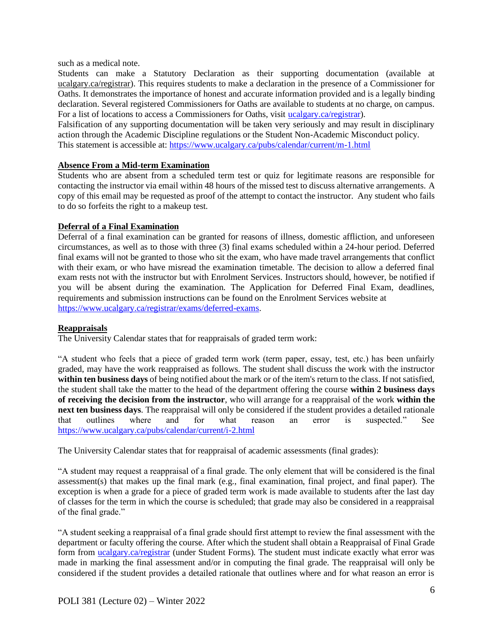such as a medical note.

Students can make a Statutory Declaration as their supporting documentation (available at ucalgary.ca/registrar). This requires students to make a declaration in the presence of a Commissioner for Oaths. It demonstrates the importance of honest and accurate information provided and is a legally binding declaration. Several registered Commissioners for Oaths are available to students at no charge, on campus. For a list of locations to access a Commissioners for Oaths, visit [ucalgary.ca/registrar\)](http://www.ucalgary.ca/registrar).

Falsification of any supporting documentation will be taken very seriously and may result in disciplinary action through the Academic Discipline regulations or the Student Non-Academic Misconduct policy. This statement is accessible at:<https://www.ucalgary.ca/pubs/calendar/current/m-1.html>

#### **Absence From a Mid-term Examination**

Students who are absent from a scheduled term test or quiz for legitimate reasons are responsible for contacting the instructor via email within 48 hours of the missed test to discuss alternative arrangements. A copy of this email may be requested as proof of the attempt to contact the instructor. Any student who fails to do so forfeits the right to a makeup test.

### **Deferral of a Final Examination**

Deferral of a final examination can be granted for reasons of illness, domestic affliction, and unforeseen circumstances, as well as to those with three (3) final exams scheduled within a 24-hour period. Deferred final exams will not be granted to those who sit the exam, who have made travel arrangements that conflict with their exam, or who have misread the examination timetable. The decision to allow a deferred final exam rests not with the instructor but with Enrolment Services. Instructors should, however, be notified if you will be absent during the examination. The Application for Deferred Final Exam, deadlines, requirements and submission instructions can be found on the Enrolment Services website at [https://www.ucalgary.ca/registrar/exams/deferred-exams.](https://www.ucalgary.ca/registrar/exams/deferred-exams)

#### **Reappraisals**

The University Calendar states that for reappraisals of graded term work:

"A student who feels that a piece of graded term work (term paper, essay, test, etc.) has been unfairly graded, may have the work reappraised as follows. The student shall discuss the work with the instructor **within ten business days** of being notified about the mark or of the item's return to the class. If not satisfied, the student shall take the matter to the head of the department offering the course **within 2 business days of receiving the decision from the instructor**, who will arrange for a reappraisal of the work **within the next ten business days**. The reappraisal will only be considered if the student provides a detailed rationale that outlines where and for what reason an error is suspected." See <https://www.ucalgary.ca/pubs/calendar/current/i-2.html>

The University Calendar states that for reappraisal of academic assessments (final grades):

"A student may request a reappraisal of a final grade. The only element that will be considered is the final assessment(s) that makes up the final mark (e.g., final examination, final project, and final paper). The exception is when a grade for a piece of graded term work is made available to students after the last day of classes for the term in which the course is scheduled; that grade may also be considered in a reappraisal of the final grade."

"A student seeking a reappraisal of a final grade should first attempt to review the final assessment with the department or faculty offering the course. After which the student shall obtain a Reappraisal of Final Grade form from [ucalgary.ca/registrar](https://www.ucalgary.ca/registrar/home) (under Student Forms). The student must indicate exactly what error was made in marking the final assessment and/or in computing the final grade. The reappraisal will only be considered if the student provides a detailed rationale that outlines where and for what reason an error is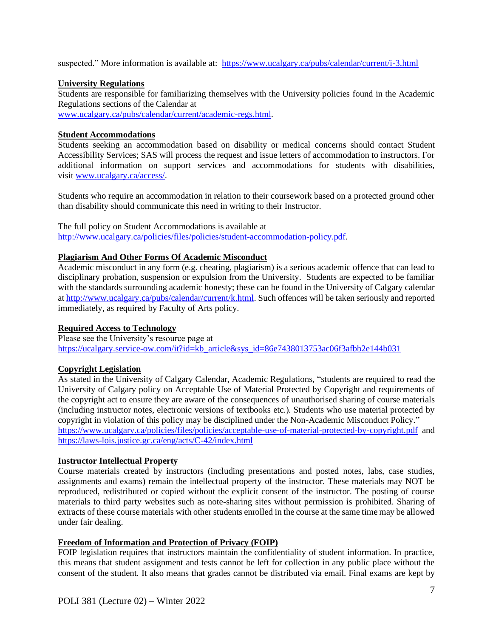suspected." More information is available at: <https://www.ucalgary.ca/pubs/calendar/current/i-3.html>

### **University Regulations**

Students are responsible for familiarizing themselves with the University policies found in the Academic Regulations sections of the Calendar at

[www.ucalgary.ca/pubs/calendar/current/academic-regs.html.](http://www.ucalgary.ca/pubs/calendar/current/academic-regs.html)

### **Student Accommodations**

Students seeking an accommodation based on disability or medical concerns should contact Student Accessibility Services; SAS will process the request and issue letters of accommodation to instructors. For additional information on support services and accommodations for students with disabilities, visit [www.ucalgary.ca/access/.](http://www.ucalgary.ca/access/)

Students who require an accommodation in relation to their coursework based on a protected ground other than disability should communicate this need in writing to their Instructor.

The full policy on Student Accommodations is available at [http://www.ucalgary.ca/policies/files/policies/student-accommodation-policy.pdf.](http://www.ucalgary.ca/policies/files/policies/student-accommodation-policy.pdf)

### **Plagiarism And Other Forms Of Academic Misconduct**

Academic misconduct in any form (e.g. cheating, plagiarism) is a serious academic offence that can lead to disciplinary probation, suspension or expulsion from the University. Students are expected to be familiar with the standards surrounding academic honesty; these can be found in the University of Calgary calendar at [http://www.ucalgary.ca/pubs/calendar/current/k.html.](http://www.ucalgary.ca/pubs/calendar/current/k.html) Such offences will be taken seriously and reported immediately, as required by Faculty of Arts policy.

# **Required Access to Technology**

Please see the University's resource page at [https://ucalgary.service-ow.com/it?id=kb\\_article&sys\\_id=86e7438013753ac06f3afbb2e144b031](https://ucalgary.service-ow.com/it?id=kb_article&sys_id=86e7438013753ac06f3afbb2e144b031)

# **Copyright Legislation**

As stated in the University of Calgary Calendar, Academic Regulations, "students are required to read the University of Calgary policy on Acceptable Use of Material Protected by Copyright and requirements of the copyright act to ensure they are aware of the consequences of unauthorised sharing of course materials (including instructor notes, electronic versions of textbooks etc.). Students who use material protected by copyright in violation of this policy may be disciplined under the Non-Academic Misconduct Policy." <https://www.ucalgary.ca/policies/files/policies/acceptable-use-of-material-protected-by-copyright.pdf> and <https://laws-lois.justice.gc.ca/eng/acts/C-42/index.html>

# **Instructor Intellectual Property**

Course materials created by instructors (including presentations and posted notes, labs, case studies, assignments and exams) remain the intellectual property of the instructor. These materials may NOT be reproduced, redistributed or copied without the explicit consent of the instructor. The posting of course materials to third party websites such as note-sharing sites without permission is prohibited. Sharing of extracts of these course materials with other students enrolled in the course at the same time may be allowed under fair dealing.

# **Freedom of Information and Protection of Privacy (FOIP)**

FOIP legislation requires that instructors maintain the confidentiality of student information. In practice, this means that student assignment and tests cannot be left for collection in any public place without the consent of the student. It also means that grades cannot be distributed via email. Final exams are kept by